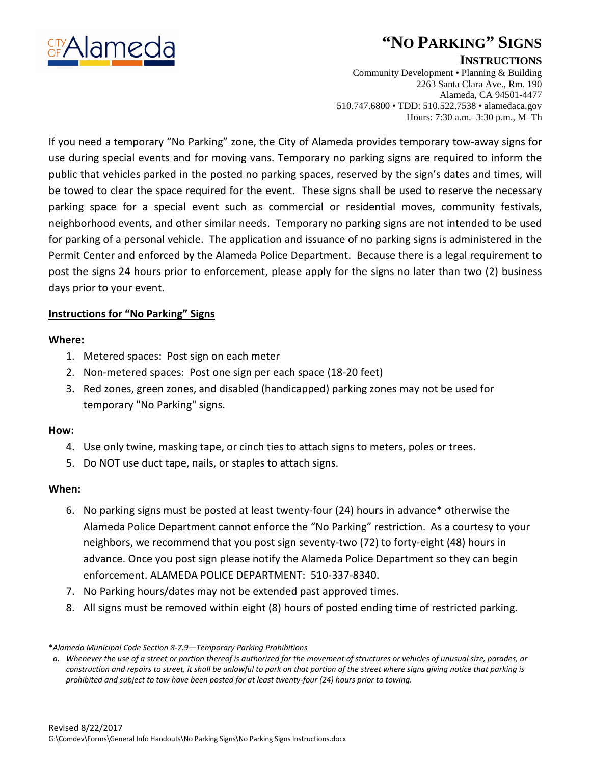

# **"NO PARKING" SIGNS**

### **INSTRUCTIONS**

Community Development • Planning & Building 2263 Santa Clara Ave., Rm. 190 Alameda, CA 94501-4477 510.747.6800 • TDD: 510.522.7538 • alamedaca.gov Hours: 7:30 a.m.–3:30 p.m., M–Th

If you need a temporary "No Parking" zone, the City of Alameda provides temporary tow-away signs for use during special events and for moving vans. Temporary no parking signs are required to inform the public that vehicles parked in the posted no parking spaces, reserved by the sign's dates and times, will be towed to clear the space required for the event. These signs shall be used to reserve the necessary parking space for a special event such as commercial or residential moves, community festivals, neighborhood events, and other similar needs. Temporary no parking signs are not intended to be used for parking of a personal vehicle. The application and issuance of no parking signs is administered in the Permit Center and enforced by the Alameda Police Department. Because there is a legal requirement to post the signs 24 hours prior to enforcement, please apply for the signs no later than two (2) business days prior to your event.

### **Instructions for "No Parking" Signs**

#### **Where:**

- 1. Metered spaces: Post sign on each meter
- 2. Non-metered spaces: Post one sign per each space (18-20 feet)
- 3. Red zones, green zones, and disabled (handicapped) parking zones may not be used for temporary "No Parking" signs.

#### **How:**

- 4. Use only twine, masking tape, or cinch ties to attach signs to meters, poles or trees.
- 5. Do NOT use duct tape, nails, or staples to attach signs.

## **When:**

- 6. No parking signs must be posted at least twenty-four (24) hours in advance\* otherwise the Alameda Police Department cannot enforce the "No Parking" restriction. As a courtesy to your neighbors, we recommend that you post sign seventy-two (72) to forty-eight (48) hours in advance. Once you post sign please notify the Alameda Police Department so they can begin enforcement. ALAMEDA POLICE DEPARTMENT: 510-337-8340.
- 7. No Parking hours/dates may not be extended past approved times.
- 8. All signs must be removed within eight (8) hours of posted ending time of restricted parking.

<sup>\*</sup>*Alameda Municipal Code Section 8-7.9—Temporary Parking Prohibitions*

*a. Whenever the use of a street or portion thereof is authorized for the movement of structures or vehicles of unusual size, parades, or construction and repairs to street, it shall be unlawful to park on that portion of the street where signs giving notice that parking is prohibited and subject to tow have been posted for at least twenty-four (24) hours prior to towing.*